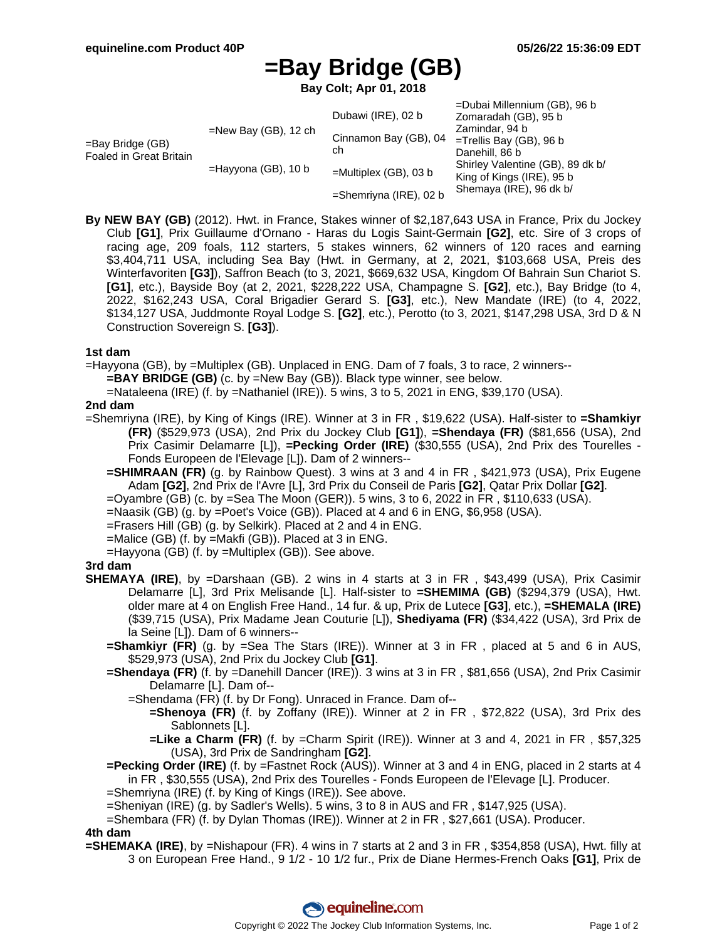# **=Bay Bridge (GB)**

**Bay Colt; Apr 01, 2018**

| $=$ Bay Bridge (GB)<br>Foaled in Great Britain | $=$ New Bay (GB), 12 ch | Dubawi (IRE), 02 b          | =Dubai Millennium (GB), 96 b<br>Zomaradah (GB), 95 b<br>Zamindar, 94 b<br>$=$ Trellis Bay (GB), 96 b<br>Danehill, 86 b<br>Shirley Valentine (GB), 89 dk b/<br>King of Kings (IRE), 95 b<br>Shemaya (IRE), 96 dk b/ |
|------------------------------------------------|-------------------------|-----------------------------|--------------------------------------------------------------------------------------------------------------------------------------------------------------------------------------------------------------------|
|                                                |                         | Cinnamon Bay (GB), 04<br>ch |                                                                                                                                                                                                                    |
|                                                | $=$ Hayyona (GB), 10 b  | $=$ Multiplex (GB), 03 b    |                                                                                                                                                                                                                    |
|                                                |                         | $=$ Shemriyna (IRE), 02 b   |                                                                                                                                                                                                                    |

**By NEW BAY (GB)** (2012). Hwt. in France, Stakes winner of \$2,187,643 USA in France, Prix du Jockey Club **[G1]**, Prix Guillaume d'Ornano - Haras du Logis Saint-Germain **[G2]**, etc. Sire of 3 crops of racing age, 209 foals, 112 starters, 5 stakes winners, 62 winners of 120 races and earning \$3,404,711 USA, including Sea Bay (Hwt. in Germany, at 2, 2021, \$103,668 USA, Preis des Winterfavoriten **[G3]**), Saffron Beach (to 3, 2021, \$669,632 USA, Kingdom Of Bahrain Sun Chariot S. **[G1]**, etc.), Bayside Boy (at 2, 2021, \$228,222 USA, Champagne S. **[G2]**, etc.), Bay Bridge (to 4, 2022, \$162,243 USA, Coral Brigadier Gerard S. **[G3]**, etc.), New Mandate (IRE) (to 4, 2022, \$134,127 USA, Juddmonte Royal Lodge S. **[G2]**, etc.), Perotto (to 3, 2021, \$147,298 USA, 3rd D & N Construction Sovereign S. **[G3]**).

#### **1st dam**

=Hayyona (GB), by =Multiplex (GB). Unplaced in ENG. Dam of 7 foals, 3 to race, 2 winners--

**=BAY BRIDGE (GB)** (c. by =New Bay (GB)). Black type winner, see below.

=Nataleena (IRE) (f. by =Nathaniel (IRE)). 5 wins, 3 to 5, 2021 in ENG, \$39,170 (USA).

#### **2nd dam**

- =Shemriyna (IRE), by King of Kings (IRE). Winner at 3 in FR , \$19,622 (USA). Half-sister to **=Shamkiyr (FR)** (\$529,973 (USA), 2nd Prix du Jockey Club **[G1]**), **=Shendaya (FR)** (\$81,656 (USA), 2nd Prix Casimir Delamarre [L]), **=Pecking Order (IRE)** (\$30,555 (USA), 2nd Prix des Tourelles - Fonds Europeen de l'Elevage [L]). Dam of 2 winners--
	- **=SHIMRAAN (FR)** (g. by Rainbow Quest). 3 wins at 3 and 4 in FR , \$421,973 (USA), Prix Eugene Adam **[G2]**, 2nd Prix de l'Avre [L], 3rd Prix du Conseil de Paris **[G2]**, Qatar Prix Dollar **[G2]**.
	- =Oyambre (GB) (c. by =Sea The Moon (GER)). 5 wins, 3 to 6, 2022 in FR , \$110,633 (USA).
	- =Naasik (GB) (g. by =Poet's Voice (GB)). Placed at 4 and 6 in ENG, \$6,958 (USA).

=Frasers Hill (GB) (g. by Selkirk). Placed at 2 and 4 in ENG.

- =Malice (GB) (f. by =Makfi (GB)). Placed at 3 in ENG.
- =Hayyona (GB) (f. by =Multiplex (GB)). See above.

### **3rd dam**

- **SHEMAYA (IRE)**, by =Darshaan (GB). 2 wins in 4 starts at 3 in FR , \$43,499 (USA), Prix Casimir Delamarre [L], 3rd Prix Melisande [L]. Half-sister to **=SHEMIMA (GB)** (\$294,379 (USA), Hwt. older mare at 4 on English Free Hand., 14 fur. & up, Prix de Lutece **[G3]**, etc.), **=SHEMALA (IRE)** (\$39,715 (USA), Prix Madame Jean Couturie [L]), **Shediyama (FR)** (\$34,422 (USA), 3rd Prix de la Seine [L]). Dam of 6 winners--
	- **=Shamkiyr (FR)** (g. by =Sea The Stars (IRE)). Winner at 3 in FR , placed at 5 and 6 in AUS, \$529,973 (USA), 2nd Prix du Jockey Club **[G1]**.
	- **=Shendaya (FR)** (f. by =Danehill Dancer (IRE)). 3 wins at 3 in FR , \$81,656 (USA), 2nd Prix Casimir Delamarre [L]. Dam of--
		- =Shendama (FR) (f. by Dr Fong). Unraced in France. Dam of--
			- **=Shenoya (FR)** (f. by Zoffany (IRE)). Winner at 2 in FR , \$72,822 (USA), 3rd Prix des Sablonnets [L].
			- **=Like a Charm (FR)** (f. by =Charm Spirit (IRE)). Winner at 3 and 4, 2021 in FR , \$57,325 (USA), 3rd Prix de Sandringham **[G2]**.
	- **=Pecking Order (IRE)** (f. by =Fastnet Rock (AUS)). Winner at 3 and 4 in ENG, placed in 2 starts at 4 in FR , \$30,555 (USA), 2nd Prix des Tourelles - Fonds Europeen de l'Elevage [L]. Producer.
	- =Shemriyna (IRE) (f. by King of Kings (IRE)). See above.
	- =Sheniyan (IRE) (g. by Sadler's Wells). 5 wins, 3 to 8 in AUS and FR , \$147,925 (USA).

=Shembara (FR) (f. by Dylan Thomas (IRE)). Winner at 2 in FR , \$27,661 (USA). Producer.

**4th dam**

**=SHEMAKA (IRE)**, by =Nishapour (FR). 4 wins in 7 starts at 2 and 3 in FR , \$354,858 (USA), Hwt. filly at 3 on European Free Hand., 9 1/2 - 10 1/2 fur., Prix de Diane Hermes-French Oaks **[G1]**, Prix de